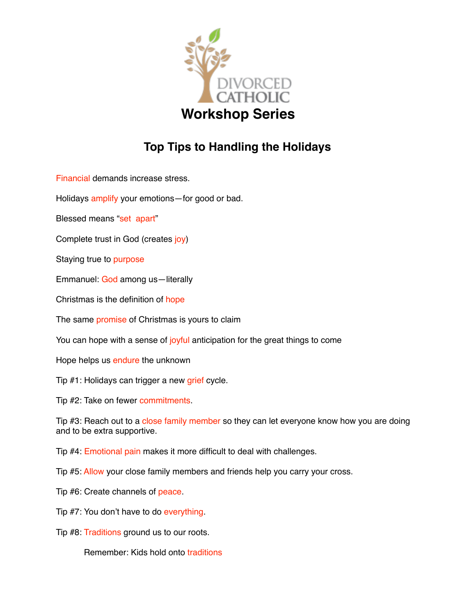

## **Top Tips to Handling the Holidays**

Financial demands increase stress.

Holidays amplify your emotions—for good or bad.

Blessed means "set apart"

Complete trust in God (creates joy)

Staying true to purpose

Emmanuel: God among us—literally

Christmas is the definition of hope

The same **promise** of Christmas is yours to claim

You can hope with a sense of joyful anticipation for the great things to come

Hope helps us endure the unknown

Tip #1: Holidays can trigger a new grief cycle.

Tip #2: Take on fewer commitments.

Tip #3: Reach out to a close family member so they can let everyone know how you are doing and to be extra supportive.

Tip #4: Emotional pain makes it more difficult to deal with challenges.

Tip #5: Allow your close family members and friends help you carry your cross.

Tip #6: Create channels of peace.

Tip #7: You don't have to do everything.

Tip #8: Traditions ground us to our roots.

Remember: Kids hold onto traditions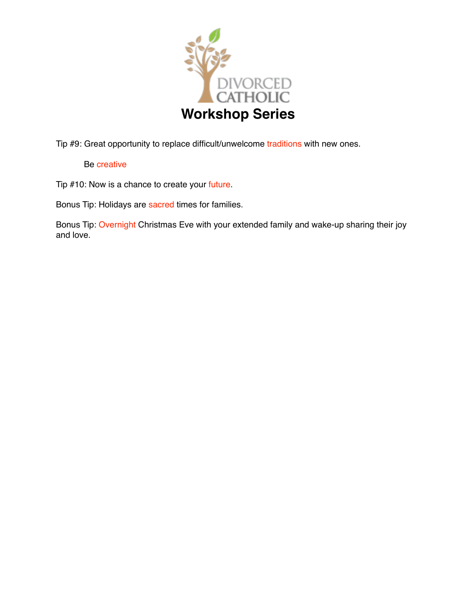

Tip #9: Great opportunity to replace difficult/unwelcome traditions with new ones.

## Be creative

Tip #10: Now is a chance to create your future.

Bonus Tip: Holidays are sacred times for families.

Bonus Tip: Overnight Christmas Eve with your extended family and wake-up sharing their joy and love.